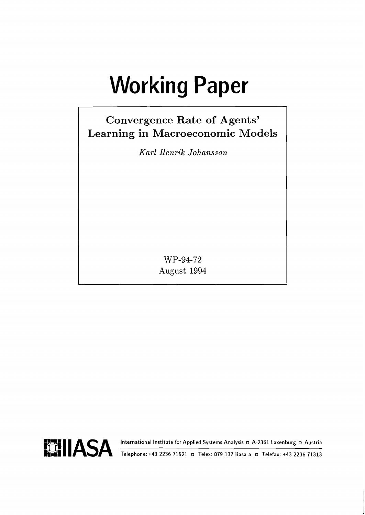# **Working Paper**

# **Convergence Rate of Agents' Learning in Macroeconomic Models**

*Karl Henrik Johansson* 

WP-94-72 August 1994

**FFLI IASA** International Institute for Applied Systems Analysis **D** A-2361 Laxenburg **D** Austria Telefax: +43 2236 71313



**lh.43 Telephone: +43 2236 71521 o Telex: 079 137 iiasa a Telefax: +43 2236 71313**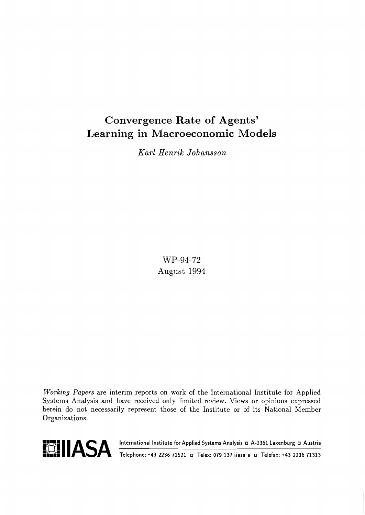# Convergence Rate of Agents' Learning in Macroeconomic Models

*Karl Henrik Johansson* 

WP-94-72 August 1994

**Working** Papers are interim reports on work of the International Institute for Applied Systems Analysis and have received only limited review. Views or opinions expressed herein do not necessarily represent those of the Institute or of its National Member Organizations.

**FFLLLI ASA** International Institute for Applied Systems Analysis **a A-2361 Laxenburg a Austria**<br>
Telephone: +43 2236 71521 **a** Telex: 079 137 iiasa a a Telefax: +43 2236 71313



**Felephone: +43 2236 71521 □ Telex: 079 137 iiasa a □ Telefax: +43 2236 71313**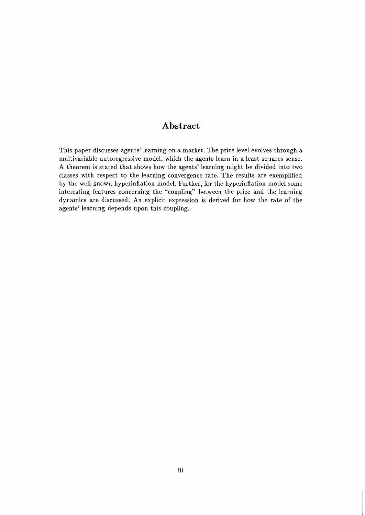# **Abstract**

This paper discusses agents' learning on a market. The price level evolves through a multivariable autoregressive model, which the agents learn in a least-squares sense. A theorem is stated that shows how the agents' learning might be divided into two classes with respect to the learning convergence rate. The results are exemplified by the well-known hyperinflation model. Further, for the hyperinflation model some interesting features concerning the "coupling" between the price and the learning dynamics are discussed. An explicit expression is derived for how the rate of the agents' learning depends upon this coupling.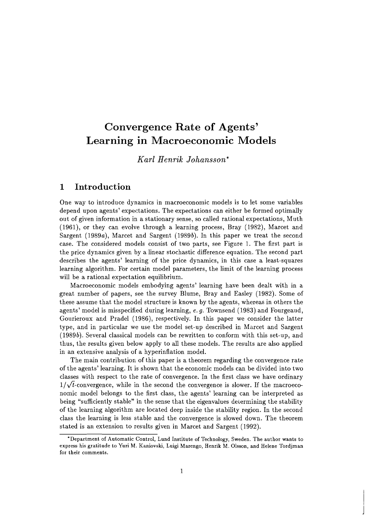# Convergence Rate of Agents' Learning in Macroeconomic Models

*Karl Henrik Johansson\** 

# 1 Introduction

One way to introduce dynamics in macroeconomic models is to let some variables depend upon agents' expectations. The expectations can either be formed optimally out of given information in a stationary sense, so called rational expectations, Muth (1961), or they can evolve through a learning process, Bray (1982), Marcet and Sargent (1989a), Marcet and Sargent (1989b). In this paper we treat the second case. The considered models consist of two parts, see Figure 1. The first part is the price dynamics given by a linear stochastic difference equation. The second part describes the agents' learning of the price dynamics, in this case a least-squares learning algorithm. For certain model parameters, the limit of the learning process will be a rational expectation equilibrium.

Macroeconomic models embodying agents' learning have been dealt with in a great number of papers, see the survey Blume, Bray and Easley (1982). Some of these assume that the model structure is known by the agents, whereas in others the agents' model is misspecified during learning, e.  $q$ . Townsend (1983) and Fourgeaud, Gourieroux and Pradel (1986), respectively. In this paper we consider the latter type, and in particular we use the model set-up described in Mnrcet and Sargent (19893). Several classical models can be rewritten to conform with this set-up, and thus, the results given below apply to all these models. The results are also applied in an extensive analysis of a hyperinflation model.

The main contribution of this paper is a theorem regarding the convergence rate of the agents' learning. It is shown that the economic models can be divided into two classes with respect to the rate of convergence. In the first class we have ordinary  $1/\sqrt{t}$ -convergence, while in the second the convergence is slower. If the macroeconomic model belongs to the first class, the agents' learning can be interpreted as being "sufficiently stable" in the sense that the eigenvalues deiermining the stability of the learning algorithm are located deep inside the stability region. In the second class the learning is less stable and the convergence is slowed down. The theorem stated is an extension to results given in Marcet and Sargent (1992).

<sup>&#</sup>x27;Department of Automatic Control, Lund Institute of Technology, Sweden. The author wants to express his gratitude to Yuri M. Kaniovski, Luigi Marengo, Henrik M. Olsson, and Helene Tordjman for their comments.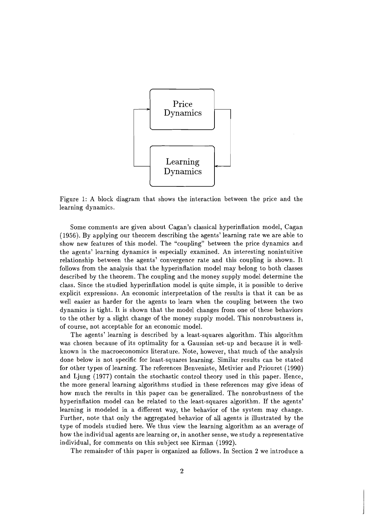

Figure 1: A block diagram that shows the interaction between the price and the learning dynamics.

Some comments are given about Cagan's classical hyperinflation model, Cagan (1956). By applying our theorem describing the agents' learning rate we are able to show new features of this model. The "coupling" between the price dynamics and the agents' learning dynamics is especially examined. An interesting nonintuitive relationship between the agents' convergence rate and this coupling is shown. It follows from the analysis that the hyperinflation model may belong to both classes described by the theorem. The coupling and the money supply model determine the class. Since the studied hyperinflation model is quite simple, it is possible to derive explicit expressions. An economic interpretation of the results is that it can be as well easier as harder for the agents to learn when the coupling between the two dynamics is tight. It is shown that the model changes from one of these behaviors to the other by a slight change of the money supply model. This nonrobustness is, of course, not acceptable for an economic model.

The agents' learning is described by a least-squares algorithm. This algorithm was chosen because of its optimality for a Gaussian set-up and because it is wellknown in the macroeconomics literature. Note, however, that much of the analysis done below is not specific for least-squares learning. Similar results can be stated for other types of learning. The references Benveniste, Metivier and Priouret (1990) and Ljung (1977) contain the stochastic control theory used in this paper. Hence, the more general learning algorithms studied in these references may give ideas of how much the results in this paper can be generalized. The nonrobustness of the hyperinflation model can be related to the least-squares algorithm. If the agents' learning is modeled in a different way, the behavior of the system may change. Further, note that only the aggregated behavior of **all** agents is illustrated by the type of models studied here. We thus view the learning algorithm as an average of how the individual agents are learning or, in another sense, we study a representative individual, for comments on this subject see Kirman (1992).

The remainder of this paper is organized as follows. In Section 2 we introduce a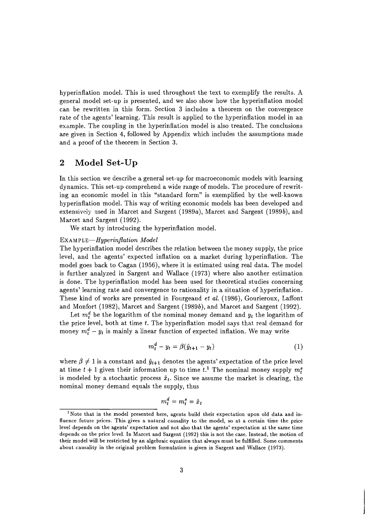hyperinflation model. This is used throughout the text to exemplify the results. A general model set-up is presented, and we also show how the hyperinflation model can be rewritten in this form. Section 3 includes a theorem on the convergence rate of the agents' learning. This result is applied to the hyperinflation model in an example. The coupling in the hyperinflation model is also treated. The conclusions are given in Section 4, followed by Appendix which includes the assumptions made and a proof of the theorem in Section 3.

# **2 Model Set-Up**

In this section we describe a general set-up for macroeconomic models with learning dynamics. This set-up comprehend a wide range of models. The procedure of rewriting an economic model in this "standard form" is exemplified by the well-known hyperinflation model. This way of writing economic models has been developed and extensively used in Marcet and Sargent (1989a), Marcet and Sargent (1989b), and Marcet and Sargent (1992).

We start by introducing the hyperinflation model.

#### $EXAMPLE-Hyperinflation Model$

The hyperinflation model describes the relation between the money supply, the price level, and the agents' expected inflation on a market during hyperinflation. The model goes back to Cagan (1956), where it is estimated using real data. The model is further analyzed in Sargent and Wallace (1973) where also another estimation is done. The hyperinflation model has been used for theoretical studies concerning agents' learning rate and convergence to rationality in a situation of hyperinflation. These kind of works are presented in Fourgeaud et al. (1986), Gourieroux, Laffont and Monfort (1982), Marcet and Sargent (1989b), and Marcet and Sargent (1992).

Let  $m_t^d$  be the logarithm of the nominal money demand and  $y_t$  the logarithm of the price level, both at time *t.* The hyperinflation model says that real demand for money  $m_t^d - y_t$  is mainly a linear function of expected inflation. We may write

$$
m_t^d - y_t = \beta(\hat{y}_{t+1} - y_t) \tag{1}
$$

where  $\beta \neq 1$  is a constant and  $\hat{y}_{t+1}$  denotes the agents' expectation of the price level at time  $t + 1$  given their information up to time  $t<sup>1</sup>$ . The nominal money supply  $m_t^s$ is modeled by a stochastic process  $\tilde{x}_t$ . Since we assume the market is clearing, the nominal money demand equals the supply, thus

$$
m_t^d = m_t^s = \tilde{x}_t
$$

<sup>&</sup>lt;sup>1</sup> Note that in the model presented here, agents build their expectation upon old data and in**fluence future prices. This gives a natural causality to the model, so at a certain time the price level depends on the agents' expectation and not also that the agents' expectation at the same time depends on the price level. In Marcet and Sargent (1992) this is not the case. Instead, the motion of their model will be restricted by an algebraic equation that always must be fulfilled. Some comments about causality in the original problem formulation is given in Sargent and Wallace (1973).**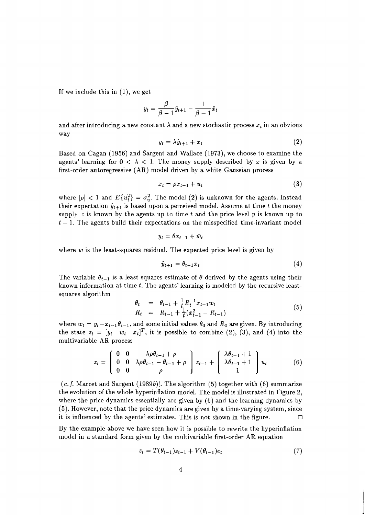If we include this in (I), we get

$$
y_t = \frac{\beta}{\beta - 1}\hat{y}_{t+1} - \frac{1}{\beta - 1}\tilde{x}_t
$$

and after introducing a new constant  $\lambda$  and a new stochastic process  $x_t$  in an obvious way

$$
y_t = \lambda \hat{y}_{t+1} + x_t \tag{2}
$$

Based on Cagan (1956) and Sargent and Wallace (1973)) we choose to examine the agents' learning for  $0 < \lambda < 1$ . The money supply described by x is given by a first-order autoregressive (AR) model driven by a white Gaussian process

$$
x_t = \rho x_{t-1} + u_t \tag{3}
$$

where  $|\rho| < 1$  and  $E\{u_i^2\} = \sigma_u^2$ . The model (2) is unknown for the agents. Instead their expectation  $\hat{y}_{t+1}$  is based upon a perceived model. Assume at time *t* the money supply  $\varepsilon$  is known by the agents up to time  $t$  and the price level  $y$  is known up to  $t-1$ . The agents build their expectations on the misspecified time-invariant model

$$
y_t = \theta x_{t-1} + \bar{w}_t
$$

where  $\bar{w}$  is the least-squares residual. The expected price level is given by

$$
\hat{y}_{t+1} = \theta_{t-1} x_t \tag{4}
$$

The variable  $\theta_{t-1}$  is a least-squares estimate of  $\theta$  derived by the agents using their known information at time *t.* The agents' learning is modeled by the recursive leastsquares algorithm

$$
\begin{array}{rcl}\n\theta_t & = & \theta_{t-1} + \frac{1}{t} R_t^{-1} x_{t-1} w_t \\
R_t & = & R_{t-1} + \frac{1}{t} (x_{t-1}^2 - R_{t-1})\n\end{array} \tag{5}
$$

where  $w_t = y_t - x_{t-1} \theta_{t-1}$ , and some initial values  $\theta_0$  and  $R_0$  are given. By introducing the state  $z_t = [y_t \quad w_t \quad x_t]^T$ , it is possible to combine (2), (3), and (4) into the multivariable AR process

$$
z_{t} = \begin{pmatrix} 0 & 0 & \lambda \rho \theta_{t-1} + \rho \\ 0 & 0 & \lambda \rho \theta_{t-1} - \theta_{t-1} + \rho \\ 0 & 0 & \rho \end{pmatrix} z_{t-1} + \begin{pmatrix} \lambda \theta_{t-1} + 1 \\ \lambda \theta_{t-1} + 1 \\ 1 \end{pmatrix} u_{t}
$$
(6)

 $(c.f.$  Marcet and Sargent (1989b)). The algorithm (5) together with (6) summarize the evolution of the whole hyperinflation model. The model is illustrated in Figure 2, where the price dynamics essentially are given by (6) and the learning dynamics by (5). However, note that the price dynamics are given by a time-varying system, since it is influenced by the agents' estimates. This is not shown in the figure.  $\Box$ 

By the example above we have seen how it is possible to rewrite the hyperinflation model in a standard form given by the multivariable first-order AR equation

$$
z_t = T(\theta_{t-1})z_{t-1} + V(\theta_{t-1})e_t \tag{7}
$$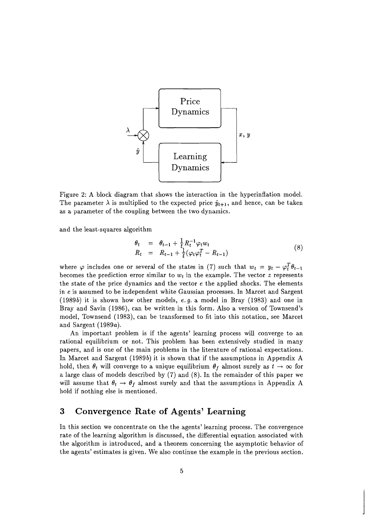

Figure 2: A block diagram that shows the interaction in the hyperinflation model. The parameter  $\lambda$  is multiplied to the expected price  $\hat{y}_{t+1}$ , and hence, can be taken as a parameter of the coupling between the two dynamics.

and the least-squares algorithm

$$
\begin{array}{rcl}\n\theta_t & = & \theta_{t-1} + \frac{1}{t} R_t^{-1} \varphi_t w_t \\
R_t & = & R_{t-1} + \frac{1}{t} (\varphi_t \varphi_t^T - R_{t-1})\n\end{array} \tag{8}
$$

where  $\varphi$  includes one or several of the states in (7) such that  $w_t = y_t - \varphi_t^T \theta_{t-1}$ becomes the prediction error similar to  $w_t$  in the example. The vector  $z$  represents the state of the price dynamics and the vector  $e$  the applied shocks. The elements in e is assumed to be independent white Gaussian processes. In Marcet and Sargent (1989b) it is shown how other models, **e.g.** a model in Bray (1983) and one in Bray and Savin (1986), can be written in this form. Also a version of Townsend's model, Townsend (1983), can be transformed to fit into this notation, see Marcet and Sargent (1989a).

An important problem is if the agents' learning process will converge to an rational equilibrium or not. This problem has been extensively studied in many papers, and is one of the main problems in the literature of rational expectations. In Marcet and Sargent (1989b) it is shown that if the assumptions in Appendix A hold, then  $\theta_t$  will converge to a unique equilibrium  $\theta_f$  almost surely as  $t\to\infty$  for a large class of models described by (7) and (8). In the remainder of this paper we will assume that  $\theta_t \to \theta_f$  almost surely and that the assumptions in Appendix A hold if nothing else is mentioned.

# **3 Convergence Rate of Agents' Learning**

In this section we concentrate on the the agents' learning process. The convergence rate of the learning algorithm is discussed, the differential equation associated with the algorithm is introduced, and a theorem concerning the asymptotic behavior of the agents' estimates is given. We also continue the example in the previous section.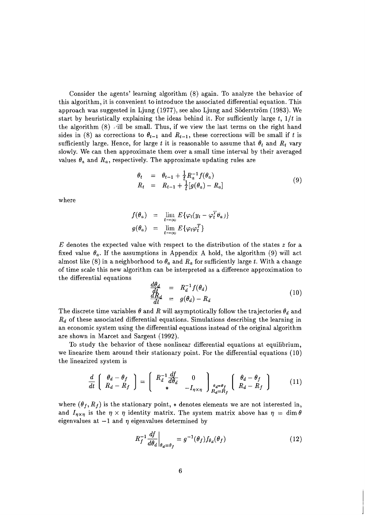Consider the agents' learning algorithm  $(8)$  again. To analyze the behavior of this algorithm, it is convenient to introduce the associated differential equation. This approach was suggested in Ljung (1977), see also Ljung and Söderström (1983). We start by heuristically explaining the ideas behind it. For sufficiently large  $t$ ,  $1/t$  in the algorithm  $(8)$  vill be small. Thus, if we view the last terms on the right hand sides in (8) as corrections to  $\theta_{t-1}$  and  $R_{t-1}$ , these corrections will be small if t is sufficiently large. Hence, for large t it is reasonable to assume that  $\theta_t$  and  $R_t$  vary slowly. We can then approximate them over a small time interval by their averaged values  $\theta_a$  and  $R_a$ , respectively. The approximate updating rules are

$$
\begin{array}{rcl}\n\theta_t & = & \theta_{t-1} + \frac{1}{t} R_a^{-1} f(\theta_a) \\
R_t & = & R_{t-1} + \frac{1}{t} [g(\theta_a) - R_a]\n\end{array} \tag{9}
$$

where

$$
f(\theta_a) = \lim_{t \to \infty} E\{\varphi_t(y_t - \varphi_t^T \theta_a)\}
$$
  

$$
g(\theta_a) = \lim_{t \to \infty} E\{\varphi_t \varphi_t^T\}
$$

 $E$  denotes the expected value with respect to the distribution of the states  $z$  for a fixed value  $\theta_a$ . If the assumptions in Appendix A hold, the algorithm (9) will act almost like (8) in a neighborhood to  $\theta_a$  and  $R_a$  for sufficiently large t. With a change of time scale this new algorithm can be interpreted as a difference approximation to the differential eauations

$$
\begin{array}{rcl}\n\frac{d\theta_d}{dt} & = & R_d^{-1} f(\theta_d) \\
\frac{dR_d}{dt} & = & g(\theta_d) - R_d\n\end{array} \tag{10}
$$

The discrete time variables  $\theta$  and  $R$  will asymptotically follow the trajectories  $\theta_d$  and  $R_d$  of these associated differential equations. Simulations describing the learning in an economic system using the differential equations instead of the original algorithm are shown in Marcet and Sargent (1992).

To study the behavior of these nonlinear differential equations at equilibrium, we linearize them around their stationary point. For the differential equations (10) the linearized system is

$$
\frac{d}{dt}\left[\begin{array}{c}\theta_d-\theta_f\\R_d-R_f\end{array}\right]=\left[\begin{array}{cc}R_d^{-1}\frac{df}{d\theta_d}&0\\*\end{array}\right]_{\begin{array}{c}\theta_d=\theta_f\\-I_{\eta\times\eta}\end{array}}\right]_{\begin{array}{c}\theta_d=\theta_f\\R_d-R_f\end{array}}\left[\begin{array}{c}\theta_d-\theta_f\\R_d-R_f\end{array}\right]
$$
(11)

where  $(\theta_f, R_f)$  is the stationary point,  $*$  denotes elements we are not interested in, and  $I_{\eta \times \eta}$  is the  $\eta \times \eta$  identity matrix. The system matrix above has  $\eta = \dim \theta$ eigenvalues at  $-1$  and  $\eta$  eigenvalues determined by

$$
R_f^{-1} \frac{df}{d\theta_d} \bigg|_{\theta_d = \theta_f} = g^{-1}(\theta_f) f_{\theta_d}(\theta_f) \tag{12}
$$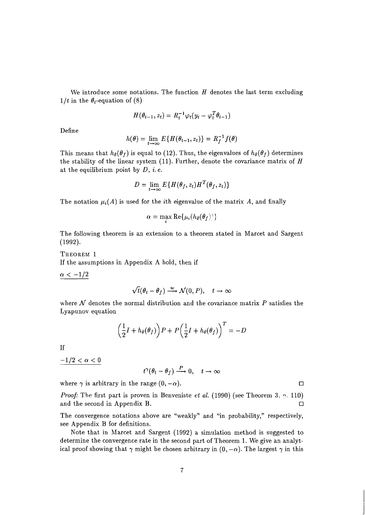We introduce some notations. The function  $H$  denotes the last term excluding  $1/t$  in the  $\theta_t$ -equation of (8)

$$
H(\theta_{t-1}, z_t) = R_t^{-1} \varphi_t(y_t - \varphi_t^T \theta_{t-1})
$$

Define

$$
h(\theta) = \lim_{t \to \infty} E\{H(\theta_{t-1}, z_t)\} = R_f^{-1} f(\theta)
$$

This means that  $h_{\theta}(\theta_f)$  is equal to (12). Thus, the eigenvalues of  $h_{\theta}(\theta_f)$  determines the stability of the linear system  $(11)$ . Further, denote the covariance matrix of H at the equilibrium point by  $D, i. e.$ 

$$
D = \lim_{t \to \infty} E\{H(\theta_f, z_t)H^T(\theta_f, z_t)\}
$$

The notation  $\mu_i(A)$  is used for the *i*th eigenvalue of the matrix A, and finally

**a** 

$$
\alpha = \max \mathrm{Re}\{\mu_i(h_{\theta}(\theta_f)))\}
$$

The following theorem is an extension to a theorem stated in Marcet and Sargent (1992).

THEOREM 1 If the assumptions in Appendix A hold, then if

 $\alpha < -1/2$ 

$$
\sqrt{t}(\theta_t - \theta_f) \xrightarrow{w} \mathcal{N}(0, P), \quad t \to \infty
$$

where *N* denotes the normal distribution and the covariance matrix *P* satisfies the Lyapunov equation

$$
\left(\frac{1}{2}I + h_{\theta}(\theta_f)\right)P + P\left(\frac{1}{2}I + h_{\theta}(\theta_f)\right)^T = -D
$$

**If** 

 $-1/2 < \alpha < 0$ 

$$
t^{\gamma}(\theta_t - \theta_f) \xrightarrow{P} 0, \quad t \to \infty
$$

where  $\gamma$  is arbitrary in the range  $(0, -\alpha)$ .

*Proof:* The first part is proven in Benveniste *et al.* (1990) (see Theorem 3, p. 110) and the second in Appendix B.  $\Box$ 

The convergence notations above are "weakly" and "in probability," respectively, see Appendix B for definitions.

Note that in Marcet and Sargent (1992) a simulation method is suggested to determine the convergence rate in the second part of Theorem 1. We give an analytical proof showing that  $\gamma$  might be chosen arbitrary in  $(0, -\alpha)$ . The largest  $\gamma$  in this

 $\Box$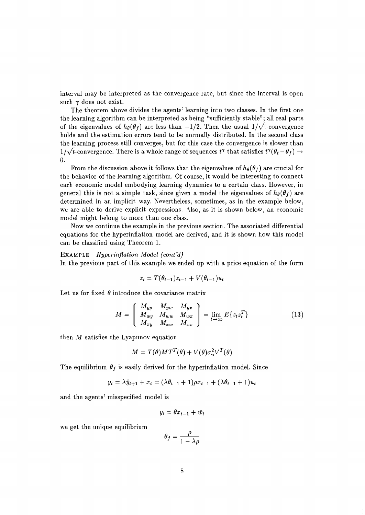interval may be interpreted as the convergence rate, but since the interval is open such  $\gamma$  does not exist.

The theorem above divides the agents' learning into two classes. In the first one the learning algorithm can be interpreted as being "sufficiently stable"; all real parts of the eigenvalues of  $h_{\theta}(\theta_f)$  are less than  $-1/2$ . Then the usual  $1/\sqrt{\ }$  convergence holds and the estimation errors tend to be normally distributed. In the second class the learning process still converges, but for this case the convergence is slower than  $1/\sqrt{t}$ -convergence. There is a whole range of sequences  $t^{\gamma}$  that satisfies  $t^{\gamma}(\theta_t - \theta_f) \rightarrow$ **0.** 

From the discussion above it follows that the eigenvalues of  $h_{\theta}(\theta_f)$  are crucial for the behavior of the learning algorithm. Of course, it would be interesting to connect each economic model embodying learning dynamics to a certain class. However, in general this is not a simple task, since given a model the eigenvalues of  $h_{\theta}(\theta_f)$  are determined in an implicit way. Nevertheless, sometimes, as in the example below, we are able to derive explicit expressions. Also, as it is shown below, an economic model might belong to more than one class.

Now we continue the example in the previous section. The associated differential equations for the hyperinflation model are derived, and it is shown how this model can be classified using Theorem 1.

#### **EXAMPLE-Hyperinflation Model (cont'd)**

In the previous part of this example we ended up with a price equation of the form

$$
z_t = T(\theta_{t-1})z_{t-1} + V(\theta_{t-1})u_t
$$

Let us for fixed  $\theta$  introduce the covariance matrix

$$
M = \left(\begin{array}{cc} M_{yy} & M_{yw} & M_{yx} \\ M_{wy} & M_{ww} & M_{wx} \\ M_{xy} & M_{xw} & M_{xx} \end{array}\right) = \lim_{t \to \infty} E\{z_t z_t^T\}
$$
(13)

then  $M$  satisfies the Lyapunov equation

$$
M = T(\theta)MT^{T}(\theta) + V(\theta)\sigma_{u}^{2}V^{T}(\theta)
$$

The equilibrium  $\theta_f$  is easily derived for the hyperinflation model. Since

$$
y_t = \lambda \hat{y}_{t+1} + x_t = (\lambda \theta_{t-1} + 1)\rho x_{t-1} + (\lambda \theta_{t-1} + 1)u_t
$$

and the agents' misspecified model is

$$
y_t = \theta x_{t-1} + \bar{w}_t
$$

we get the unique equilibrium

$$
\begin{aligned} \n\lambda v_{t-1} + 1 &= p \lambda_{t-1} + p \lambda_{t-1} + p \lambda_{t-1} \n\end{aligned}
$$
\n
$$
\begin{aligned} \n\theta_f &= \frac{\rho}{1 - \lambda \rho} \n\end{aligned}
$$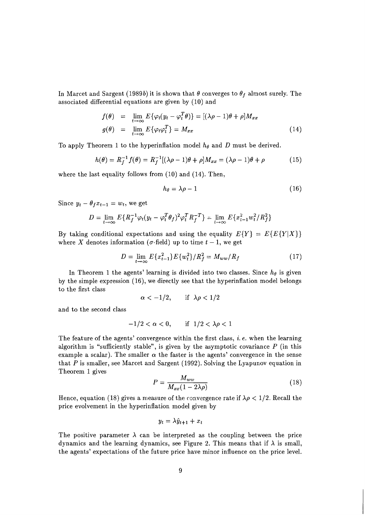In Marcet and Sargent (1989b) it is shown that  $\theta$  converges to  $\theta_f$  almost surely. The associated differential equations are given by (10) and

$$
f(\theta) = \lim_{t \to \infty} E\{\varphi_t(y_t - \varphi_t^T \theta)\} = [(\lambda \rho - 1)\theta + \rho]M_{xx}
$$
  

$$
g(\theta) = \lim_{t \to \infty} E\{\varphi_t \varphi_t^T\} = M_{xx}
$$
 (14)

To apply Theorem 1 to the hyperinflation model *he* and D must be derived.

$$
h(\theta) = R_f^{-1} f(\theta) = R_f^{-1} [(\lambda \rho - 1)\theta + \rho] M_{xx} = (\lambda \rho - 1)\theta + \rho
$$
 (15)

where the last equality follows from (10) and (14). Then,

$$
h_{\theta} = \lambda \rho - 1 \tag{16}
$$

Since  $y_t - \theta_f x_{t-1} = w_t$ , we get

$$
D = \lim_{t \to \infty} E\{R_f^{-1}\varphi_t(y_t - \varphi_t^T \theta_f)^2 \varphi_t^T R_f^{-T}\} = \lim_{t \to \infty} E\{x_{t-1}^2 w_t^2 / R_f^2\}
$$

By taking conditional expectations and using the equality  $E\{Y\} = E\{E\{Y|X\}\}\$ where X denotes information ( $\sigma$ -field) up to time  $t-1$ , we get

$$
D = \lim_{t \to \infty} E\{x_{t-1}^2\} E\{w_t^2\}/R_f^2 = M_{ww}/R_f \tag{17}
$$

In Theorem 1 the agents' learning is divided into two classes. Since  $h_{\theta}$  is given by the simple expression (16), we directly see that the hyperinflation model belongs to the first class

$$
\alpha < -1/2, \quad \text{if } \lambda \rho < 1/2
$$

and to the second class

$$
-1/2 < \alpha < 0, \qquad \text{if} \quad 1/2 < \lambda \rho < 1
$$

The feature of the agents' convergence within the first class, i. *e.* when the learning algorithm is "sufficiently stable", is given by the asymptotic covariance  $P$  (in this example a scalar). The smaller  $\alpha$  the faster is the agents' convergence in the sense that  $P$  is smaller, see Marcet and Sargent (1992). Solving the Lyapunov equation in Theorem 1 gives

$$
P = \frac{M_{ww}}{M_{xx}(1 - 2\lambda\rho)}\tag{18}
$$

Hence, equation (18) gives a measure of the convergence rate if  $\lambda \rho < 1/2$ . Recall the price evolvement in the hyperinflation model given by

$$
y_t = \lambda \hat{y}_{t+1} + x_t
$$

The positive parameter  $\lambda$  can be interpreted as the coupling between the price dynamics and the learning dynamics, see Figure 2. This means that if  $\lambda$  is small, the agents' expectations of the future price have minor influence on the price level.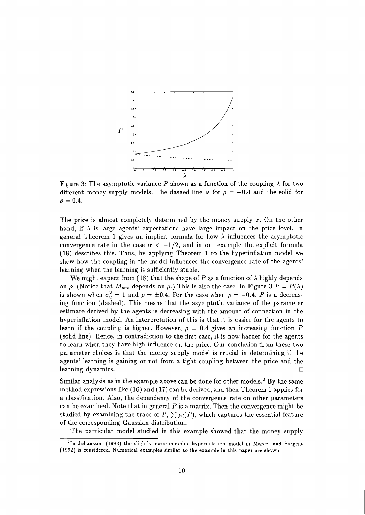

Figure 3: The asymptotic variance  $P$  shown as a function of the coupling  $\lambda$  for two different money supply models. The dashed line is for  $\rho = -0.4$  and the solid for  $\rho = 0.4.$ 

The price is almost completely determined by the money supply  $x$ . On the other hand, if  $\lambda$  is large agents' expectations have large impact on the price level. In general Theorem 1 gives an implicit formula for how  $\lambda$  influences the asymptotic convergence rate in the case  $\alpha < -1/2$ , and in our example the explicit formula (18) describes this. Thus, by applying Theorem 1 to the hyperinflation model we show how the coupling in the model influences the convergence rate of the agents' learning when the learning is sufficiently stable.

We might expect from (18) that the shape of P as a function of  $\lambda$  highly depends on  $\rho$ . (Notice that  $M_{ww}$  depends on  $\rho$ .) This is also the case. In Figure 3  $P = P(\lambda)$ is shown when  $\sigma_u^2 = 1$  and  $\rho = \pm 0.4$ . For the case when  $\rho = -0.4$ , P is a decreasing function (dashed). This means that the asymptotic variance of the parameter estimate derived by the agents is decreasing with the amount of connection in the hyperinflation model. An interpretation of this is that it is easier for the agents to learn if the coupling is higher. However,  $\rho = 0.4$  gives an increasing function P (solid line). Hence, in contradiction to the first case, it is now harder for the agents to learn when they have high influence on the price. Our conclusion from these two parameter choices is that the money supply model is crucial in determining if the agents' learning is gaining or not from a tight coupling between the price and the learning dynamics.  $\Box$ 

Similar analysis as in the example above can be done for other models.<sup>2</sup> By the same method expressions like (16) and (17) can be derived, and then Theorem 1 applies for a classification. Also, the dependency of the convergence rate on other parameters can be examined. Note that in general  $P$  is a matrix. Then the convergence might be studied by examining the trace of  $P$ ,  $\sum \mu_i(P)$ , which captures the essential feature of the corresponding Gaussian distribution.

The particular model studied in this example showed that the money supply

**<sup>21</sup>n Johansson (1993) the slightly more complex hyperinflation model in Marcet and Sargent (1992) is considered. Numerical examples similar to the example in this paper are shown.**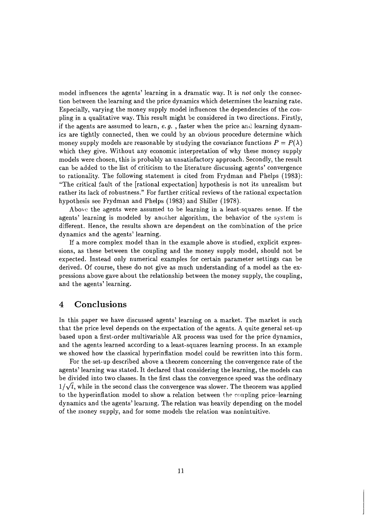model influences the agents' learning in a dramatic way. It is not only the connection between the learning and the price dynamics which determines the learning rate. Especially, varying the money supply model influences the dependencies of the coupling in a qualitative way. This result might be considered in two directions. Firstly, if the agents are assumed to learn, *e.g.*, faster when the price and learning dynamics are tightly connected, then we could by an obvious procedure determine which money supply models are reasonable by studying the covariance functions  $P = P(\lambda)$ which they give. Without any economic interpretation of why these money supply models were chosen, this is probably an unsatisfactory approach. Secondly, the result can be added to the list of criticism to the literature discussing agents' convergence to rationality. The following statement is cited from Frydman and Phelps (1983): "The critical fault of the [rational expectation] hypothesis is not its unrealism but rather its lack of robustness." For further critical reviews of the rational expectation hypothesis see Frydman and Phelps (1983) and Shiller (1978).

Above the agents were assumed to be learning in a least-squares sense. If the agents' learning is modeled by another algorithm, the behavior of the syslem is different. Hence, the results shown are dependent on the combination of the price dynamics and the agents' learning.

If a more complex model than in the example above is studied, explicit expressions, as these between the coupling and the money supply model, should not be expected. Instead only numerical examples for certain parameter settings can be derived. Of course, these do not give as much understanding of a model as the expressions above gave about the relationship between the money supply, the coupling, and the agents' learning.

## **4 Conclusions**

In this paper we have discussed agents' learning on a market. The market is such that the price level depends on the expectation of the agents. A quite general set-up based upon a first-order multivariable AR process was used for the price dynamics, and the agents learned according to a least-squares learning process. In an example we showed how the classical hyperinflation model could be rewritten into this form.

For the set-up described above a theorem concerning the convergence rate of the agents' learning was stated. It declared that considering the learning, the models can be divided into two classes. In the first class the convergence speed was the ordinary  $1/\sqrt{t}$ , while in the second class the convergence was slower. The theorem was applied to the hyperinflation model to show a relation between thc coapling price-learning dynamics and the agents' learning. The relation was heavily depending on the model of the money supply, and for some models the relation was nonintuitive.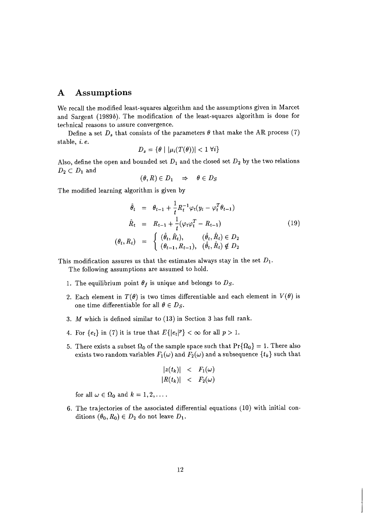## **A Assumptions**

We recall the modified least-squares algorithm and the assumptions given in Marcet and Sargent (19896). The modification of the least-squares algorithm is done for technical reasons to assure convergence.

Define a set  $D_s$  that consists of the parameters  $\theta$  that make the AR process (7) stable, i. e.

$$
D_s = \{ \theta \mid |\mu_i(T(\theta))| < 1 \, \forall i \}
$$

Also, define the open and bounded set  $D_1$  and the closed set  $D_2$  by the two relations  $D_2 \subset D_1$  and

$$
(\theta,R)\in D_1\quad\Rightarrow\quad\theta\in D_S
$$

The modified learning algorithm is given by

$$
\hat{\theta}_t = \theta_{t-1} + \frac{1}{t} R_t^{-1} \varphi_t (y_t - \varphi_t^T \theta_{t-1})
$$
\n
$$
\hat{R}_t = R_{t-1} + \frac{1}{t} (\varphi_t \varphi_t^T - R_{t-1})
$$
\n
$$
(\theta_t, R_t) = \begin{cases}\n(\hat{\theta}_t, \hat{R}_t), & (\hat{\theta}_t, \hat{R}_t) \in D_2 \\
(\theta_{t-1}, R_{t-1}), & (\hat{\theta}_t, \hat{R}_t) \notin D_2\n\end{cases}
$$
\n(19)

This modification assures us that the estimates always stay in the set  $D_1$ .

The following assumptions are assumed to hold.

- 1. The equilibrium point  $\theta_f$  is unique and belongs to  $D_s$ .
- 2. Each element in  $T(\theta)$  is two times differentiable and each element in  $V(\theta)$  is one time differentiable for all  $\theta \in D_S$ .
- 3. M which is defined similar to (13) in Section 3 has full rank.
- 4. For  $\{e_t\}$  in (7) it is true that  $E\{|e_t|^p\} < \infty$  for all  $p > 1$ .
- 5. There exists a subset  $\Omega_0$  of the sample space such that  $Pr{\Omega_0} = 1$ . There also exists two random variables  $F_1(\omega)$  and  $F_2(\omega)$  and a subsequence  $\{t_k\}$  such that

$$
|z(t_k)| < F_1(\omega)
$$
  

$$
|R(t_k)| < F_2(\omega)
$$

for all  $\omega \in \Omega_0$  and  $k = 1, 2, \ldots$ .

6. The trajectories of the associated differential equations (10) with initial conditions  $(\theta_0, R_0) \in D_2$  do not leave  $D_1$ .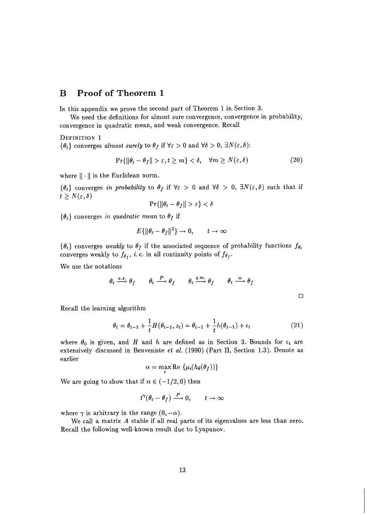## **B Proof of Theorem 1**

In this appendix we prove the second part of Theorem 1 in Section 3.

We need the definitions for almost sure convergence, convergence in probability, convergence in quadratic mean, and weak convergence. Recall

DEFINITION 1

 $\{\theta_t\}$  converges *almost surely* to  $\theta_f$  if  $\forall \varepsilon > 0$  and  $\forall \delta > 0$ ,  $\exists N(\varepsilon, \delta)$ :

$$
\Pr\{\|\theta_t - \theta_f\| > \varepsilon, t \ge m\} < \delta, \quad \forall m \ge N(\varepsilon, \delta)
$$
 (20)

where  $\|\cdot\|$  is the Euclidean norm.

 $\{\theta_t\}$  converges *in probability* to  $\theta_f$  if  $\forall \varepsilon > 0$  and  $\forall \delta > 0$ ,  $\exists N(\varepsilon, \delta)$  such that if  $t \geq N(\varepsilon, \delta)$ 

$$
\Pr\{\|\theta_t - \theta_f\| > \varepsilon\} < \delta
$$

 $\{\theta_t\}$  converges in quadratic mean to  $\theta_f$  if

$$
E\{\|\theta_t - \theta_f\|^2\} \to 0, \qquad t \to \infty
$$

 $\{\theta_t\}$  converges *weakly* to  $\theta_f$  if the associated sequence of probability functions  $f_{\theta_t}$ converges weakly to  $f_{\theta_{f}}$ , *i.e.* in all continuity points of  $f_{\theta_{f}}$ .

We use the notations

$$
\theta_t \xrightarrow{a.s.} \theta_f \qquad \theta_t \xrightarrow{P} \theta_f \qquad \theta_t \xrightarrow{q.m.} \theta_f \qquad \theta_t \xrightarrow{w} \theta_f \qquad \Box
$$

Recall the learning algorithm

$$
\theta_t = \theta_{t-1} + \frac{1}{t} H(\theta_{t-1}, z_t) = \theta_{t-1} + \frac{1}{t} h(\theta_{t-1}) + \epsilon_t
$$
\n(21)

where  $\theta_0$  is given, and *H* and *h* are defined as in Section 3. Bounds for  $\epsilon_t$  are extensively discussed in Benveniste *et al.* (1990) (Part 11, Section 1.3). Denote as earlier

$$
\alpha = \max \operatorname{Re} \left\{ \mu_i(h_{\theta}(\theta_f)) \right\}
$$

We are going to show that if  $\alpha \in (-1/2,0)$  then

$$
t^{\gamma}(\theta_t - \theta_f) \stackrel{P}{\longrightarrow} 0, \qquad t \to \infty
$$

where  $\gamma$  is arbitrary in the range  $(0, -\alpha)$ .

We call a matrix *A* stable if all real parts of its eigenvalues are less than zero. Recall the following well-known result due to Lyapunov.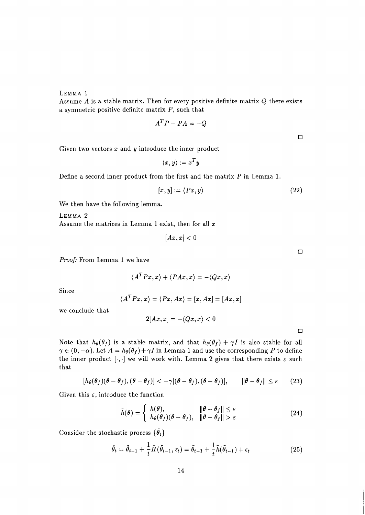*Proof:* From Lemma *1* we have

$$
\langle A^T P x, x \rangle + \langle P A x, x \rangle = - \langle Q x, x \rangle
$$

Since

LEMMA 1

$$
\langle A^T P x, x \rangle = \langle P x, Ax \rangle = [x, Ax] = [Ax, x]
$$

 $2[Ax, x] = -\langle Qx, x \rangle < 0$ 

we conclude that

Note that 
$$
h_{\theta}(\theta_f)
$$
 is a stable matrix, and that  $h_{\theta}(\theta_f) + \gamma I$  is also stable for all  $\gamma \in (0, -\alpha)$ . Let  $A = h_{\theta}(\theta_f) + \gamma I$  in Lemma 1 and use the corresponding P to define the inner product  $[\cdot, \cdot]$  we will work with. Lemma 2 gives that there exists  $\varepsilon$  such that

$$
[h_{\theta}(\theta_f)(\theta - \theta_f), (\theta - \theta_f)] < -\gamma[(\theta - \theta_f), (\theta - \theta_f)], \qquad ||\theta - \theta_f|| \le \varepsilon \qquad (23)
$$

Given this  $\varepsilon$ , introduce the function

$$
\tilde{h}(\theta) = \begin{cases}\nh(\theta), & \|\theta - \theta_f\| \le \varepsilon \\
h_{\theta}(\theta_f)(\theta - \theta_f), & \|\theta - \theta_f\| > \varepsilon\n\end{cases}
$$
\n(24)

Consider the stochastic process  $\{\tilde{\theta}_t\}$ 

$$
\tilde{\theta}_t = \tilde{\theta}_{t-1} + \frac{1}{t}\tilde{H}(\tilde{\theta}_{t-1}, z_t) = \tilde{\theta}_{t-1} + \frac{1}{t}\tilde{h}(\tilde{\theta}_{t-1}) + \epsilon_t
$$
\n(25)

Given two vectors *x* and *y* introduce the inner product

a symmetric positive definite matrix *P,* such that

 $\langle x,y\rangle := x^Ty$ 

Assume *A* is a stable matrix. Then for every positive definite matrix *Q* there exists

 $A^T P + P A = -Q$ 

Define a second inner product from the first and the matrix *P* in Lemma *1.* 

$$
[x, y] := \langle Px, y \rangle \tag{22}
$$

We then have the following lemma.

LEMMA 2 Assume the matrices in Lemma 1 exist, then for all *x* 

 $[Ax, x] < 0$ 

 $\Box$ 

 $\Box$ 

 $\Box$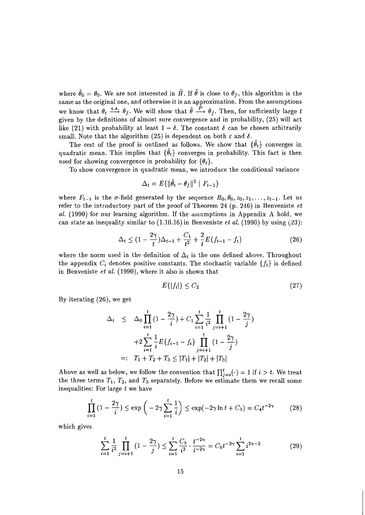where  $\tilde{\theta}_0 = \theta_0$ . We are not interested in  $\tilde{H}$ . If  $\tilde{\theta}$  is close to  $\theta_f$ , this algorithm is the same as the original one, and otherwise it is an approximation. From the assumptions we know that  $\theta_t \xrightarrow{a.s.} \theta_f$ . We will show that  $\tilde{\theta} \xrightarrow{P} \theta_f$ . Then, for sufficiently large *t* given by the definitions of almost sure convergence and in probability, (25) will act like (21) with probability at least  $1 - \delta$ . The constant  $\delta$  can be chosen arbitrarily small. Note that the algorithm (25) is dependent on both  $\varepsilon$  and  $\delta$ .

The rest of the proof is outlined as follows. We show that  $\{\theta_t\}$  converges in quadratic mean. This implies that  ${\lbrace \hat{\theta}_t \rbrace}$  converges in probability. This fact is then used for showing convergence in probability for  $\{\theta_t\}.$ 

To show convergence in quadratic mean, we introduce the conditional variance

$$
\Delta_t = E\{\|\tilde{\theta}_t - \theta_f\|^2 \mid F_{t-1}\}
$$

where  $F_{t-1}$  is the  $\sigma$ -field generated by the sequence  $R_0, \theta_0, z_0, z_1, \ldots, z_{t-1}$ . Let us refer to the introductory part of the proof of Theorem 24 (p. 246) in Benveniste  $et$ *al.* (1990) for our learning algorithm. If the assumptions in Appendix A hold, we can state an inequality similar to (1.10.16) in Benveniste *et al.* (1990) by using **(23):** 

$$
\Delta_t \le (1 - \frac{2\gamma}{t})\Delta_{t-1} + \frac{C_1}{t^2} + \frac{2}{t}E\{f_{t-1} - f_t\} \tag{26}
$$

where the norm used in the definition of  $\Delta_t$  is the one defined above. Throughout the appendix  $C_i$  denotes positive constants. The stochastic variable  $\{f_t\}$  is defined in Benveniste *et al.* (1990), where it also is shown that

$$
E\{|f_t|\} \le C_2 \tag{27}
$$

By iterating (26)) we get

$$
\Delta_t \leq \Delta_0 \prod_{i=1}^t \left(1 - \frac{2\gamma}{i}\right) + C_1 \sum_{i=1}^t \frac{1}{i^2} \prod_{j=i+1}^t \left(1 - \frac{2\gamma}{j}\right)
$$

$$
+ 2 \sum_{i=1}^t \frac{1}{i} E\{f_{i-1} - f_i\} \prod_{j=i+1}^t \left(1 - \frac{2\gamma}{j}\right)
$$

$$
=: T_1 + T_2 + T_3 \leq |T_1| + |T_2| + |T_3|
$$

Above as well as below, we follow the convention that  $\prod_{j=i}^{t}(\cdot) = 1$  if  $i > t$ . We treat the three terms  $T_1$ ,  $T_2$ , and  $T_3$  separately. Before we estimate them we recall some inequalities: For large *t* we have

$$
\prod_{i=1}^{t} (1 - \frac{2\gamma}{i}) \le \exp\left(-2\gamma \sum_{i=1}^{t} \frac{1}{i}\right) \le \exp(-2\gamma \ln t + C_3) = C_4 t^{-2\gamma} \tag{28}
$$

which gives

 $\frac{1}{i}$ 

$$
\sum_{i=1}^{t} \frac{1}{i^2} \prod_{j=i+1}^{t} (1 - \frac{2\gamma}{j}) \le \sum_{i=1}^{t} \frac{C_5}{i^2} \cdot \frac{t^{-2\gamma}}{i^{-2\gamma}} = C_5 t^{-2\gamma} \sum_{i=1}^{t} i^{2\gamma - 2}
$$
(29)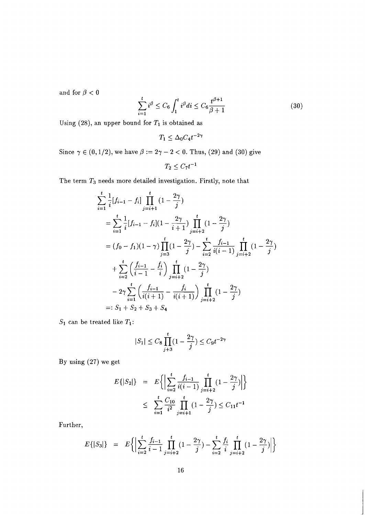and for  $\beta < 0$ 

$$
\sum_{i=1}^{t} i^{\beta} \le C_6 \int_1^t i^{\beta} di \le C_6 \frac{t^{\beta+1}}{\beta+1}
$$
 (30)

Using (28), an upper bound for  $T_1$  is obtained as

$$
T_1 \leq \Delta_0 C_4 t^{-2\gamma}
$$

Since  $\gamma \in (0,1/2)$ , we have  $\beta := 2\gamma - 2 < 0$ . Thus, (29) and (30) give

$$
T_2 \leq C_7 t^{-1}
$$

The term *T3* needs more detailed investigation. Firstly, note that

$$
\sum_{i=1}^{t} \frac{1}{i} [f_{i-1} - f_i] \prod_{j=i+1}^{t} (1 - \frac{2\gamma}{j})
$$
\n
$$
= \sum_{i=1}^{t} \frac{1}{i} [f_{i-1} - f_i] (1 - \frac{2\gamma}{i+1}) \prod_{j=i+2}^{t} (1 - \frac{2\gamma}{j})
$$
\n
$$
= (f_0 - f_1) (1 - \gamma) \prod_{j=3}^{t} (1 - \frac{2\gamma}{j}) - \sum_{i=2}^{t} \frac{f_{i-1}}{i(i-1)} \prod_{j=i+2}^{t} (1 - \frac{2\gamma}{j})
$$
\n
$$
+ \sum_{i=2}^{t} \left( \frac{f_{i-1}}{i-1} - \frac{f_i}{i} \right) \prod_{j=i+2}^{t} (1 - \frac{2\gamma}{j})
$$
\n
$$
- 2\gamma \sum_{i=1}^{t} \left( \frac{f_{i-1}}{i(i+1)} - \frac{f_i}{i(i+1)} \right) \prod_{j=i+2}^{t} (1 - \frac{2\gamma}{j})
$$
\n
$$
=: S_1 + S_2 + S_3 + S_4
$$

 $S_1$  can be treated like  $T_1$ :

$$
|S_1| \le C_8 \prod_{j+3}^t (1 - \frac{2\gamma}{j}) \le C_9 t^{-2\gamma}
$$

By using (27) we get

$$
E\{|S_2|\} = E\left\{ \left| \sum_{i=2}^t \frac{f_{i-1}}{i(i-1)} \prod_{j=i+2}^t (1 - \frac{2\gamma}{j}) \right| \right\}
$$
  

$$
\leq \sum_{i=1}^t \frac{C_{10}}{i^2} \prod_{j=i+1}^t (1 - \frac{2\gamma}{j}) \leq C_{11} t^{-1}
$$

Further,

$$
E\{|S_3|\} = E\bigg\{\bigg|\sum_{i=2}^t \frac{f_{i-1}}{i-1} \prod_{j=i+2}^t (1-\frac{2\gamma}{j}) - \sum_{i=2}^t \frac{f_i}{i} \prod_{j=i+2}^t (1-\frac{2\gamma}{j})\bigg|\bigg\}
$$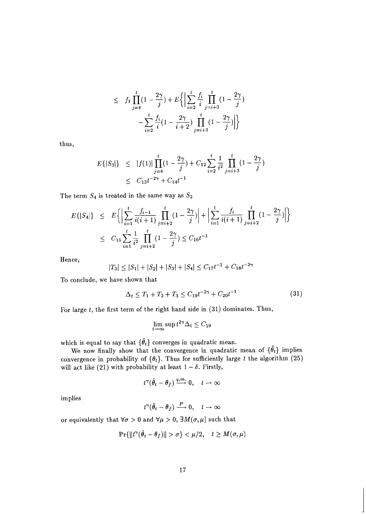$$
\leq f_1 \prod_{j=4}^t (1 - \frac{2\gamma}{j}) + E \left\{ \left| \sum_{i=2}^t \frac{f_i}{i} \prod_{j=i+3}^t (1 - \frac{2\gamma}{j}) - \sum_{i=2}^t \frac{f_i}{i} (1 - \frac{2\gamma}{i+2}) \prod_{j=i+3}^t (1 - \frac{2\gamma}{j}) \right| \right\}
$$

thus,

$$
E\{|S_3|\} \le |f(1)| \prod_{j=4}^t (1 - \frac{2\gamma}{j}) + C_{12} \sum_{i=2}^t \frac{1}{i^2} \prod_{j=i+3}^t (1 - \frac{2\gamma}{j})
$$
  
 
$$
\le C_{13}t^{-2\gamma} + C_{14}t^{-1}
$$

The term  $S_4$  is treated in the same way as  $S_2$ 

$$
E\{|S_4|\} \leq E\Big\{\Big|\sum_{i=1}^t \frac{f_{i-1}}{i(i+1)} \prod_{j=i+2}^t (1 - \frac{2\gamma}{j})\Big| + \Big|\sum_{i=1}^t \frac{f_i}{i(i+1)} \prod_{j=i+2}^t (1 - \frac{2\gamma}{j})\Big|\Big\}
$$
  

$$
\leq C_{15} \sum_{i=1}^t \frac{1}{i^2} \prod_{j=i+2}^t (1 - \frac{2\gamma}{j}) \leq C_{16} t^{-1}
$$

Hence,

$$
|T_3| \le |S_1| + |S_2| + |S_3| + |S_4| \le C_{17}t^{-1} + C_{18}t^{-2\gamma}
$$

To conclude, we have shown that

$$
\Delta_t \le T_1 + T_2 + T_3 \le C_{19} t^{-2\gamma} + C_{20} t^{-1} \tag{31}
$$

For large  $t$ , the first term of the right hand side in  $(31)$  dominates. Thus,

$$
\lim_{t \to \infty} \sup t^{2\gamma} \Delta_t \le C_{19}
$$

which is equal to say that  $\{\tilde{\theta}_t\}$  converges in quadratic mean.

We now finally show that the convergence in quadratic mean of  $\{\tilde{\theta}_t\}$  implies convergence in probability of  $\{\theta_t\}$ . Thus for sufficiently large t the algorithm (25) will act like (21) with probability at least  $1 - \delta$ . Firstly,

$$
t^{\gamma}(\tilde{\theta}_t-\theta_f)\stackrel{q,m.}{\longrightarrow}0,\quad t\to\infty
$$

implies

$$
t^{\gamma}(\tilde{\theta}_t - \theta_f) \stackrel{P}{\longrightarrow} 0, \quad t \to \infty
$$

or equivalently that  $\forall \sigma > 0$  and  $\forall \mu > 0$ ,  $\exists M(\sigma, \mu)$  such that

$$
\Pr\{\|t^{\gamma}(\tilde{\theta}_t - \theta_f)\| > \sigma\} < \mu/2, \quad t \ge M(\sigma, \mu)
$$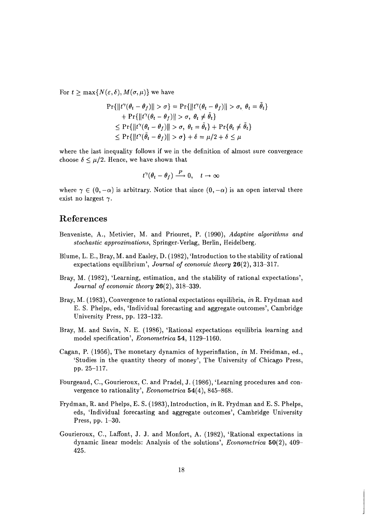For  $t > \max\{N(\varepsilon, \delta), M(\sigma, \mu)\}\$  we have

$$
\Pr\{\|t^{\gamma}(\theta_t - \theta_f)\| > \sigma\} = \Pr\{\|t^{\gamma}(\theta_t - \theta_f)\| > \sigma, \ \theta_t = \tilde{\theta}_t\} + \Pr\{\|t^{\gamma}(\theta_t - \theta_f)\| > \sigma, \ \theta_t \neq \tilde{\theta}_t\} \leq \Pr\{\|t^{\gamma}(\theta_t - \theta_f)\| > \sigma, \ \theta_t = \tilde{\theta}_t\} + \Pr\{\theta_t \neq \tilde{\theta}_t\} \leq \Pr\{\|t^{\gamma}(\tilde{\theta}_t - \theta_f)\| > \sigma\} + \delta = \mu/2 + \delta \leq \mu
$$

where the last inequality follows if we in the definition of almost sure convergence choose  $\delta \leq \mu/2$ . Hence, we have shown that

$$
t^\gamma(\theta_t-\theta_f)\stackrel{P}{\longrightarrow}0,\quad t\to\infty
$$

where  $\gamma \in (0, -\alpha)$  is arbitrary. Notice that since  $(0, -\alpha)$  is an open interval there exist no largest  $\gamma$ .

## **References**

- Benveniste, A., Metivier, M. and Priouret, P. (1990), *Adaptive algorithms and stochastic approximations,* Springer-Verlag, Berlin, Heidelberg.
- Blume, L. E., Bray, M. and Easley, D. (1982), 'Introduction to the stability of rational expectations equilibrium', *Journal of economic theory* 26(2), 313-317.
- Bray, M. (1982), 'Learning, estimation, and the stability of rational expectations', *Journal of economic theory* 26(2), 318-339.
- Bray, M. (1983), Convergence to rational expectations equilibria, *in* R. Frydman and E. S. Phelps, eds, 'Individual forecasting and aggregate outcomes', Cambridge University Press, pp. 123-132.
- Bray, M. and Savin, N. E. (1986), 'Rational expectations equilibria learning and model specification', *Econometrica* 54, 1129-1160.
- Cagan, P. (1956), The monetary dynamics of hyperinflation, *in* M. Freidman, ed., 'Studies in the quantity theory of money', The University of Chicago Press, pp. 25-117.
- Fourgeaud, C., Gourieroux, C. and Pradel, J. (1986), 'Learning procedures and convergence to rationality', *Econometrica* 54(4), 845-868.
- Frydman, R. and Phelps, E. S. (1983), Introduction, *in* R. Frydman and E. S. Phelps, eds, 'Individual forecasting and aggregate outcomes', Cambridge University Press, pp. 1-30.
- Gourieroux, C., Laffont, J. J. and Monfort, A. (1982), 'Rational expectations in dynamic linear models: Analysis of the solutions', *Econometrica* 50(2), 409- 425.